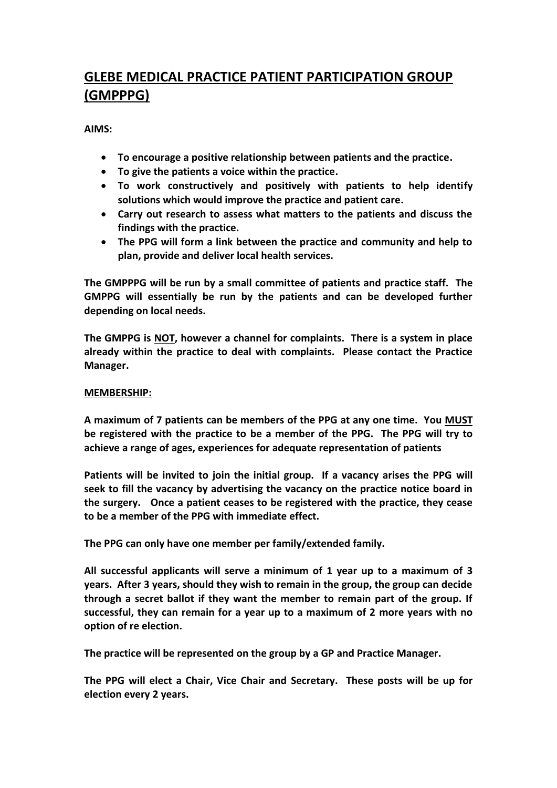# **GLEBE MEDICAL PRACTICE PATIENT PARTICIPATION GROUP (GMPPPG)**

**AIMS:**

- **To encourage a positive relationship between patients and the practice.**
- **To give the patients a voice within the practice.**
- **To work constructively and positively with patients to help identify solutions which would improve the practice and patient care.**
- **Carry out research to assess what matters to the patients and discuss the findings with the practice.**
- **The PPG will form a link between the practice and community and help to plan, provide and deliver local health services.**

**The GMPPPG will be run by a small committee of patients and practice staff. The GMPPG will essentially be run by the patients and can be developed further depending on local needs.**

**The GMPPG is NOT, however a channel for complaints. There is a system in place already within the practice to deal with complaints. Please contact the Practice Manager.**

## **MEMBERSHIP:**

**A maximum of 7 patients can be members of the PPG at any one time. You MUST be registered with the practice to be a member of the PPG. The PPG will try to achieve a range of ages, experiences for adequate representation of patients**

**Patients will be invited to join the initial group. If a vacancy arises the PPG will seek to fill the vacancy by advertising the vacancy on the practice notice board in the surgery. Once a patient ceases to be registered with the practice, they cease to be a member of the PPG with immediate effect.**

**The PPG can only have one member per family/extended family.**

**All successful applicants will serve a minimum of 1 year up to a maximum of 3 years. After 3 years, should they wish to remain in the group, the group can decide through a secret ballot if they want the member to remain part of the group. If successful, they can remain for a year up to a maximum of 2 more years with no option of re election.**

**The practice will be represented on the group by a GP and Practice Manager.**

**The PPG will elect a Chair, Vice Chair and Secretary. These posts will be up for election every 2 years.**